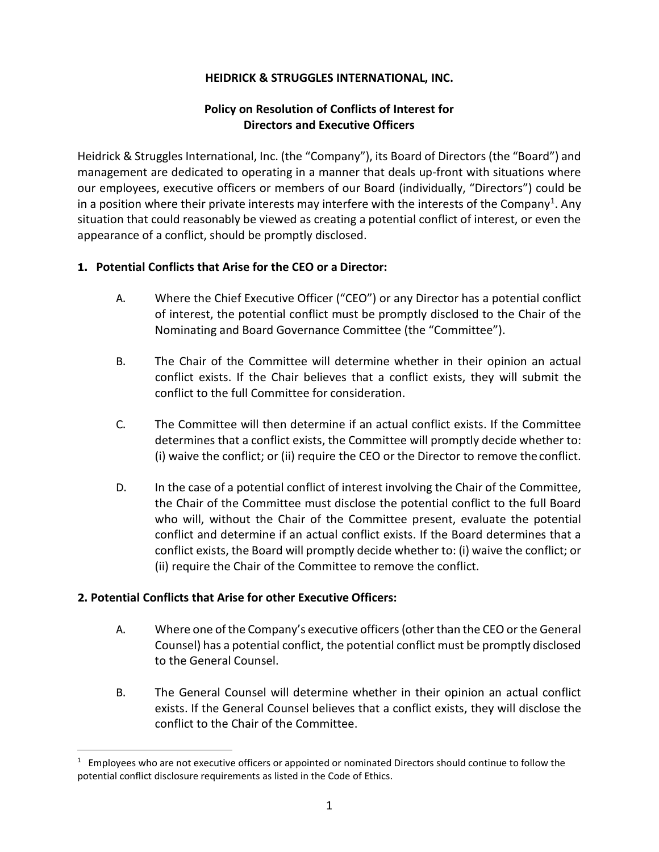## **HEIDRICK & STRUGGLES INTERNATIONAL, INC.**

## **Policy on Resolution of Conflicts of Interest for Directors and Executive Officers**

Heidrick & Struggles International, Inc. (the "Company"), its Board of Directors (the "Board") and management are dedicated to operating in a manner that deals up-front with situations where our employees, executive officers or members of our Board (individually, "Directors") could be in a position where their private interests may interfere with the interests of the Company<sup>[1](#page-0-0)</sup>. Any situation that could reasonably be viewed as creating a potential conflict of interest, or even the appearance of a conflict, should be promptly disclosed.

## **1. Potential Conflicts that Arise for the CEO or a Director:**

- A. Where the Chief Executive Officer ("CEO") or any Director has a potential conflict of interest, the potential conflict must be promptly disclosed to the Chair of the Nominating and Board Governance Committee (the "Committee").
- B. The Chair of the Committee will determine whether in their opinion an actual conflict exists. If the Chair believes that a conflict exists, they will submit the conflict to the full Committee for consideration.
- C. The Committee will then determine if an actual conflict exists. If the Committee determines that a conflict exists, the Committee will promptly decide whether to: (i) waive the conflict; or (ii) require the CEO or the Director to remove theconflict.
- D. In the case of a potential conflict of interest involving the Chair of the Committee, the Chair of the Committee must disclose the potential conflict to the full Board who will, without the Chair of the Committee present, evaluate the potential conflict and determine if an actual conflict exists. If the Board determines that a conflict exists, the Board will promptly decide whether to: (i) waive the conflict; or (ii) require the Chair of the Committee to remove the conflict.

## **2. Potential Conflicts that Arise for other Executive Officers:**

- A. Where one of the Company's executive officers (other than the CEO or the General Counsel) has a potential conflict, the potential conflict must be promptly disclosed to the General Counsel.
- B. The General Counsel will determine whether in their opinion an actual conflict exists. If the General Counsel believes that a conflict exists, they will disclose the conflict to the Chair of the Committee.

<span id="page-0-0"></span> $1$  Employees who are not executive officers or appointed or nominated Directors should continue to follow the potential conflict disclosure requirements as listed in the Code of Ethics.